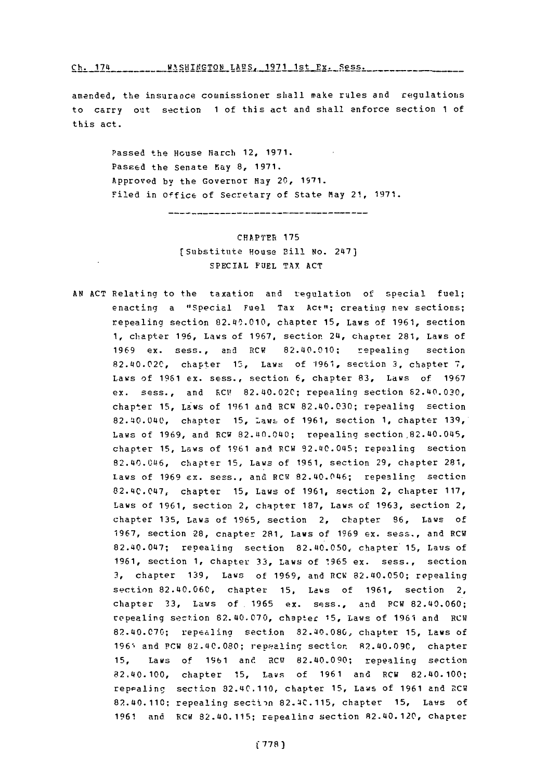Ch. 174 WASHINGTON LAES, 1971 1st Ex. Sess.

amended, the insurance commissioner shall make rules and regulations to carry out section 1 of this act and shall enforce section 1 of this act.

> Passed the House March 12, **1971.** Passed the Senate May **8, 1971.** Approved **by** the Governor May 20, **1971.** Filed in Office of Secretary of State May 21, 1971.

> > CHAPTER **175** ( Substitute House Bill No. 247) **SPECIAL FUEL TAY ACT**

-------------------------------------

**AN ACT** Relating to the taxation and regulation of special fuel; enacting a "Special Fuel Tax Act"; creating new sections; repealing section 82.40.010, chapter **15,** Laws of **1961,** section **1,** chapter **196,** Laws **of 1967,** section 24, chapter **281,** Laws of **1969** ex. sess., and RCW 82.40.010; repealing section 82.40.02C, chapter 1,Laws of **'1961,** section **3,** chapter **7,** Laws of **1961** ex. sess., section **6,** chapter **83,** Laws of **1967** ex. sess., and RCV 82.40.020; repealing section 82.40.030, chapter **15,** Laws of **19361** and RCW 82.40.030; repealing section 82.40.040, chapter **15,** !awL of **1961,** section **1,** chapter **139,** Laws of **1969,** and RCW 82.40.040; repealing section,82.40.045, chapter **15,** Laws of **1961** and RCW 92.40.045; repealing section 82.40.046, chapter **15,** Laws of **1961,** section **29,** chapter 281, Laws of **1969** ex. sess., and RCW 82.40.046; repealing section 82.40.047, chapter **15,** Laws of **1961,** section 2, chapter **117,** Laws of **1961,** section 2, chapter **187,** Laws of **1963,** section 2, chapter **135,** Laws of **1965,** section 2, chapter **96,** Laws of **1967,** section **28,** cnapter 281, Laws of **1969** ex. sess., and RCW 82.40.047; repealing section 82.40.050, chapter **15,** Laws of **1961, section 1, chapter 33, Laws of <b>1965** ex. sess., section **3,** chapter **139,** Laws of **1969,** and 11CR 82.40.050; repealing section 82.40.060, chapter 15, Laws of 1961, section 2, chapter **33,** Laws of. **1965** ex. sess., and PCW 82.40.060; repealing section 82.40.070, chapter 15, Laws of 1961 and RCW **82.40.07G;** repealino section **82.40.080,** chapter **15,** Laws of 196% and PCW 82.40.080; repealing section 82.40.090, chapter 15, Laws of **1961** and RC9 82.40.090; repealing section 82.40.100, chapter **15,** Laws of **1961** and RCW 82.40.100; repealing section 82.40.110, chapter 15, Laws of 1961 and RCW 82.40.110; repealing sectiin 82.4C.115, chapter **15,** Laws **of 1961** and RCW 82.40.115; repealina section 82.40.120, chapter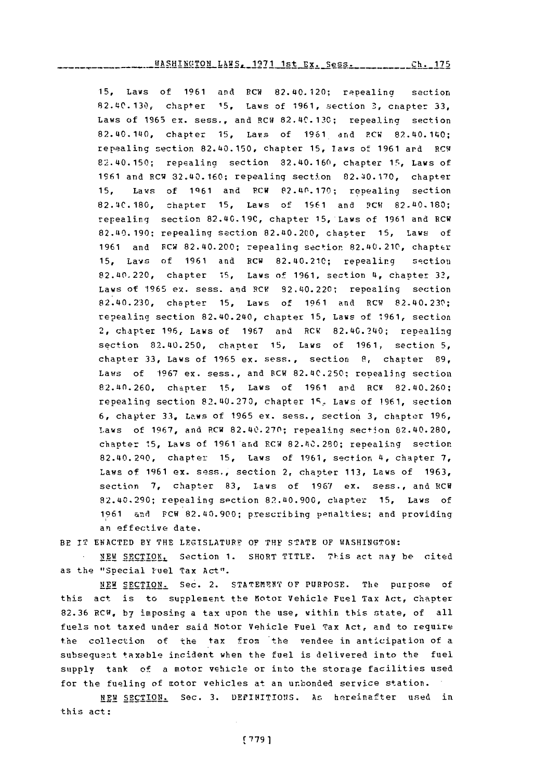**15,** Laws of **1961** and RCW 82.40.120; rppealina section 82.140.130, chapter **15,** Laws of **1961,** section **3,** chapter *33,* Laws of **1965** ex. sess., and RCW 82.4C.130; repealing section 82.40.140, chapter *15,* Lavs of **1961** arnd RCW 82.40.1140; repealing section 82.140.150, chapter **15,** laws of **1961** ar'd RCW1 62.40.150; repealing section 82.40.160, chapter **15,** Laws of 1961 and RCW 32.40.160; repealing section 82.40.170, chapter **15,** Laws of **1q61** and PCW P2.110.170; repealing section **82.!4C.180,** chapter **15,** Laws of **1961** and **PCW 82.110.180;** repealing section **82.40.19C,** chapter **15,** Laws of **1961** and RCW 82.140.190: repealing section 82.140.200, chapter **15,** laws of **1961** and FCW 82.40.200; repealing section 82.40.210, chapter **15,** Laws of **1961** and RCW 82.40.210; repealing section 82.110.220, chapter **15,** Laws of **1961.** section 4, chapter **33,** Laws of **'1965** ex. sess. arid RCV 92.140.220; repealing section 82.40.230, chapter **15,** Laws of **1961** and RCW 82.40.230; repealing section 82.40.240, chapter **15,** Laws of **1961,** section 2, chapter **196,** Laws of **1967** and RCW 82.40.240; repealing section 82.40.250, chanter **15,** Laws of **1961,** section **5,** chapter **33,** Laws of **1965** ex. sess., section **S,** chapter **89,** Laws of **1967 ex. sess., and RCW 82.40.250; repealing section** 82.110.260, chapter **15,** Laws of **1961** and RCW 82.40.260; repealing section **82.40.27%,** chapter 1r' Laws **of 1961,** section **6,** chapter **33,** Laws of **1965** ex. sess., section **3,** chapter **196,** Laws of **1967,** and RCW **82.40.270;** repealing section 82.40. 280, chapter **15,** Laws of **1961** and RCW **82.110.280;** repealing section 82.40.2q0, chapter **15,** Laws of **1961,** section 4, chapter **7,** L.aws of **1961** ex. sess., section 2, chapter **113,** Laws **of 1963,** section **7,** chapter **83,** Laws of **1967** ex. sess., and RCW 82.40.290; repealing section 82.40.900, chapter 15, Laws of **<sup>11961</sup>**and FCW 82.40.900; prescribing penalties; and providing an effective date.

BE IT **ENACTED** BY THE **LEGISLATOR?** OF THF **STATE** OF WASHINGTON:

**.NEW** SECTIONL Section **1.** SHORT TITLE. **T'1 iS** act may he cited as the "Special Fuel Tax Act".

**NEW SECTION.** Sec. 2. STATErNT OF **PURPOSE.** The purpose of this act is to supplement the Motor Vehicle Fuel Tax Act, chapter **82.36 RCW, by** imposing a tax upon the use, within this state, of all fuels not taxed under said Motor Vehicle Fuel Tax Act, and to require the collection of the tax from the vendee in anticipation of a subsequent taxable incident when the fuel is delivered into the fuel supply tank of a motor vehicle or Into the storage facilities used for the fueling of motor vehicles at an unbonded service station.

HEW SECTION. Sec. **3.** DE1PIRITIONS. Ars hereinafter used in this act: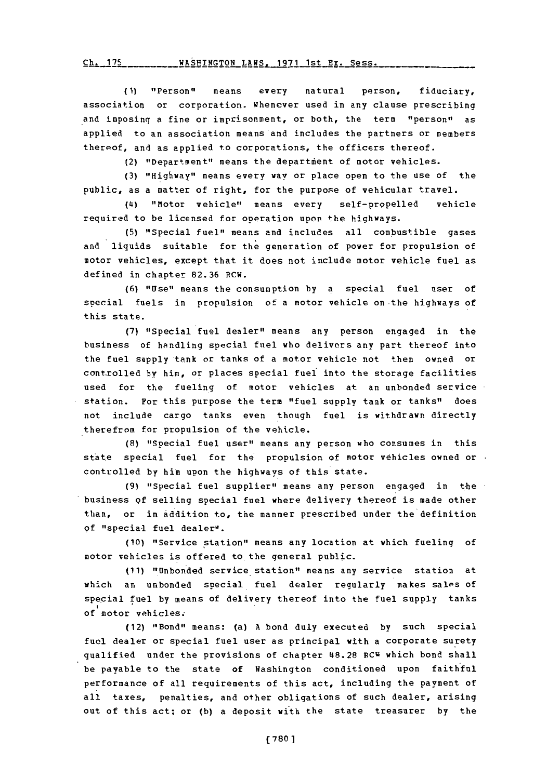**(1)** "Person" means every natural person, fiduciary, association or corporation. whenever used in any clause prescribing and imposing a fine or imprisonment, or both, the term "person" as applied to an association means and includes the partners or members thereof, and as applied to corporations, the officers thereof.

(2) "Department" means the department of motor vehicles.

**(3)** "Highway" means every way or place open to the use of the public, as a matter of right, for the purpose of vehicular travel.

(4) "Motor vehicle" means every self-propelled vehicle required to be licensed for operation upon the highways.

**(5)** "Special *fuel"'* means and includes all com bustible gases and liquids suitable for the generation of power for propulsion of motor vehicles, except that it does not include motor vehicle fuel as defined in chapter **82.36** RCW.

**(6)** "Use" means the consumption **by a** special fuel user of special fuels in propulsion of a motor vehicle on the highways of this state.

**(7)** "Special fuel dealer" means any person engaged in the business of handling special fuel who delivers any part thereof into the fuel supply tank or tanks of a motor vehicle not then owned or cont-rolled by him, or places special fuel into the storage facilities used for the fueling of motor vehicles at an unbonded service station. For this purpose the term "fuel **supply** tank or tanks" does not include cargo tanks even though fuel is withdrawn directly therefrom for propulsion of the vehicle.

**(8)** "Special fuel user" means any person who consumes in this state special fuel for the propulsion of motor vehicles owned or controlled **by** him upon the highways of this state.

(9) "Special fuel supplier" means any person engaged in the business **of** selling special fuel where delivery thereof is made other than, or in addition to, the manner prescribed under the definition **of** "special fuel dealer".

(10) "Service station" means any location at which fueling of motor vehicles is offered to the general public.

**(11)** "Unbonded service station" means any service station at which an unbonded special. fuel dealer regularly makes sales of special fuel **by** means of delivery thereof into the fuel supply tanks of motor vehicles.

(12) "Bond" means: (a) **A** bond duly executed **by** such special fuel dealer or special fuel user as principal with a corporate surety qualified under the provisions of chapter (48.28 **RCV** which bond shall be payable to the state of Washington conditioned upon faithful performance of all requirements of this act, including the payment of all taxes, penalties, and other obligations of such dealer, arising out of this act; or **(b)** a deposit with the state treasurer **by** the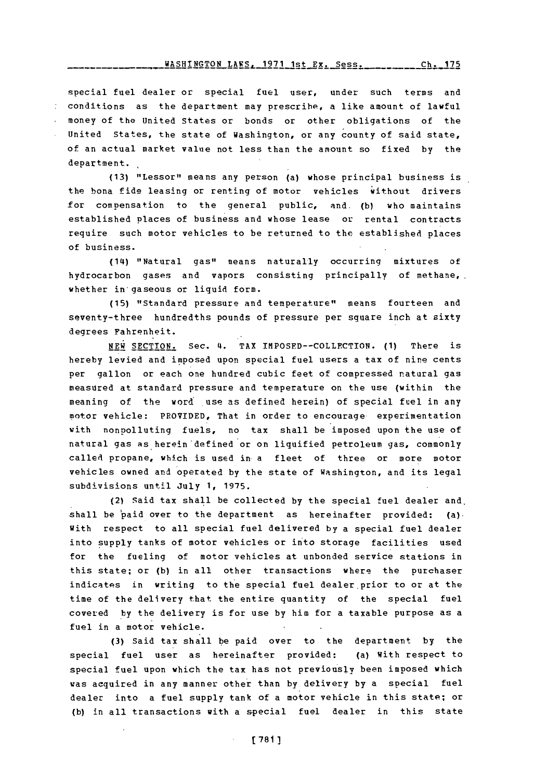# WASHINGTON LAWS, 1971 1st Ex. Sess. \_\_\_\_\_\_\_ Ch. 175

special fuel dealer or special fuel user, under such terms and conditions as the department may prescribe, a like amount of lawful money of the United States or bonds or other obligations of the United States, the state of Washington, or any county of said state, of an actual market value not less than the amount so fixed **by** the department.

(13) "Lessor" means any person (a) whose principal business is the bona fide leasing or renting of motor vehicles without drivers for compensation to the general public, and. **(b)** who maintains established places of business and whose lease or rental contracts require such motor vehicles to be returned to the established places of business.

(14) "Natural gas" means naturally occurring mixtures of hydrocarbon gases and vapors consisting principally of methane, whether in gaseous or liquid form.

**(15)** "Standard pressure and temperature" means fourteen and seventy-three hundredths pounds of pressure per square inch at sixty degrees Fahrenheit.

**NEW SECTION.** Sec. 4. TAX **IMPOSFD--COLLEC'EION. (1)** There is hereby levied and imposed upon special fuel users a tax of nine cents per gallon or each one hundred cubic feet of compressed natural gas measured at standard pressure and temperature on the use (within the meaning of the word use as defined herein) of special fuel in any motor vehicle: PROVIDED, That in order to encourage experimentation with nonpolluting fuels, no tax shall be imposed upon the use of natural gas as herein defined or on liquified petroleum gas, commonly called propane, which is used in a fleet of three or more motor vehicles owned and operated **by** the state of Washington, and its legal subdivisions until July **1, 1975.**

(2) Said tax shall be collected **by** the special fuel dealer and. shall be paid over to the department as hereinafter provided:  $(a)$ . With respect to all special fuel delivered **by** a special fuel dealer into supply tanks of motor vehicles or into storage facilities used for the fueling of motor vehicles at unbonded service stations in this state; or **(b)** in all other transactions where the purchaser indicates in writing to the special fuel dealer prior to or at the time of the delivery that the entire quantity of the special fuel covered **by** the delivery is for use **by** him for a taxable purpose as a fuel in a motor vehicle.

**(3)** Said tax shall be paid over to the department **by** the special fuel user as hereinafter provided: (a) With respect to special fuel upon which the tax has not previously been imposed which was acquired in any manner other than by delivery by a special fuel dealer into a fuel supply tank of a motor vehicle in this state; or **(b)** in all transactions with a special fuel dealer in this state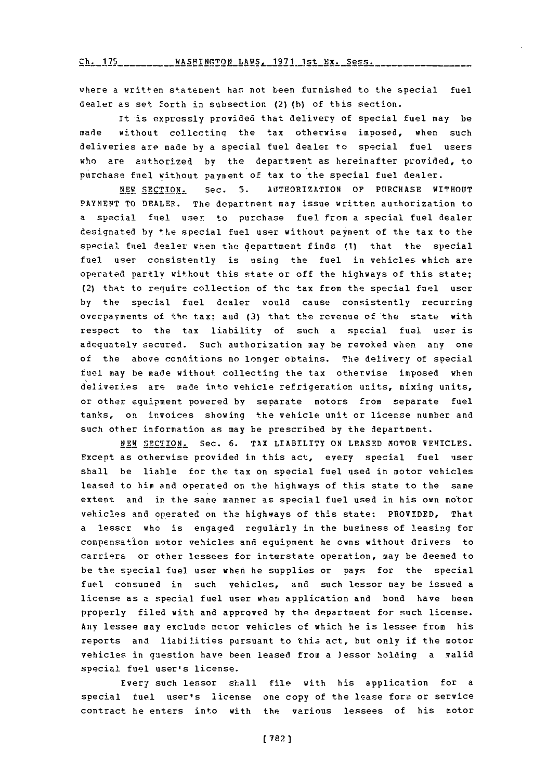Ch. 175 \_\_\_ \_\_ \_\_ WASHINGTON LAWS 1971 1st Ex. Sess .\_\_\_\_\_

where a written statement has not been furnished to the special fuel dealer as set forth in subsection **(2) (b)** of this section.

It is expressly provided that delivery of special fuel may be made without collecting the tax otherwise imposed, when such deliveries are made **by** a special fuel dealer to special fuel users who are authorized **by** the department as hereinafter provided, to purchase fuel without payment of tax to the special fuel dealer.

**NEW SECTION.** Sec. **S.** AOTHORIZATION OF **PURCHASE** WITHOUT PAYMENT TO DEALER. The department may issue written authorization to a special fuel user to purchase fuel from a special fuel dealer designated **by** the special fuel user without payment of the tax to the special fuel dealer when the department finds (1) that the special fuel user consistently is using the fuel in vehicles which are operatead partly without this state or off the highways of this state; (2) that to require collection of the tax from the special fuel user **by** the special fuel dealer would cause consistently recurring overpayments of the tax; and (3) that the revenue of the state with respect to the tax liability of such a special fuel user is adequately secured. Such authorization may be revoked when any one of the above conditions no longer obtains. The delivery of special fuel may be made without collecting the tax otherwise imposed when del iveries ars made into vehicle refrigeration units, mixing units, or other equipment powered **by** separate motors from separate fuel tanks, on invoices showing the vehicle unit or license number and such other information as may be prescribed **by** the department.

**NEW** SECTION. Sec. **6.** TAX LIABILITY **ON LEASED** MOTOR VEHICLES. Except as otherwise provided in this act, every special fuel user shall be liable for the tax on special fuel used in motor vehicles leased to *him* and operated on the highways of this state to the same extent and in the same manner as special fuel used in his own motor vehicles and operated on the highways of this state: PROVIDED, That a lesscr who is enqaged regularly in the business of leasing for compensation motor vehicles and equipment he owns without drivers to carriers or other lessees for interstate operation, may be deemed to be the special fuel user when he supplies or pays for the special fuel consumed in such Vehicles, and such lessor may be issued a license as a special fuel user when application and bond have been properly filed with and approved **by** the department for such license. Any lessee may exclude motor vehicles **of** which he is lessee from his reports and liabilities pursuant to this act, but only if the motor vehicles in question have been leased from a lessor holding a valid special fuel user's license.

Every such lessor shall file with his application for a special fuel user's license one copy of the lease fora or service contract he enters into with the various lessees of his motor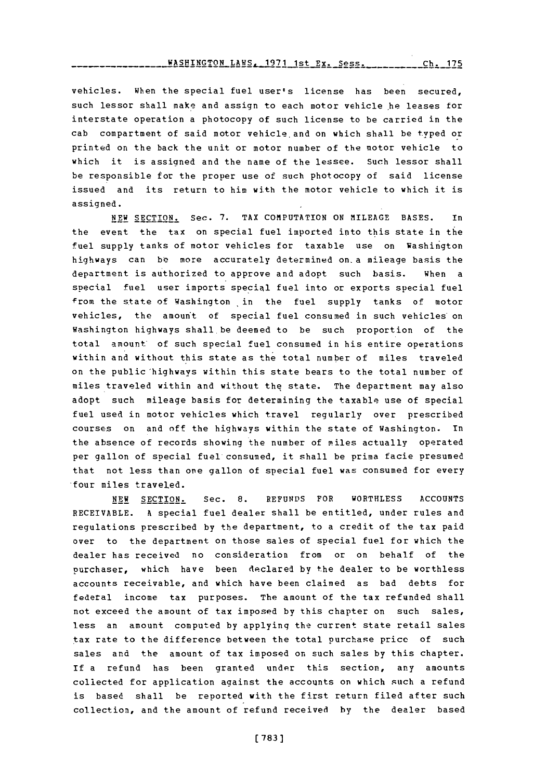WASHINGTON\_LAWS. 1971 1st Ex. Sess. \_\_\_\_\_\_\_\_\_ **ch. 175** 

vehicles. when the special fuel user's license has been secured, such lessor shall make and assign to each motor vehicle he leases for interstate operation a photocopy of such license to be carried in the cab compartment of said motor vehicle and on which shall be typed or printed on the back the unit or motor number of the motor vehicle to which it is assiqned and the name of the lessee. Such lessor shall be responsible for the proper use of such photocopy of said license issued and its return to him with the motor vehicle to which it is assigned.

**NEW** SECTION. Sec. **7.** TAX **COMPUTATION ON MILEAGE BASES.** In the event the tax on special fuel imported into this state in the fuel supply tanks of motor vehicles for taxable use on Washington highways can **be-** more accurately determined on. a mileage basis the department is authorized to approve and adopt such basis. When a special fuel user imports special fuel into or exports special fuel from the state of Washington in the fuel supply tanks of motor vehicles, the amount of special fuel consumed in such vehicles on Washington highways shall be deemed to be such proportion of the total amount of such special fuel consumed in his entire operations within and without this state as the total number of miles traveled on the public highways within this state bears to the total number of miles traveled within and without the state. The department may also adopt such mileage basis for determining the taxable use of special fuel used in motor vehicles which travel regularly over prescribed courses on and off the highways within the state of Washington. In the absence of records showing the number of miles actually operated per gallon of special fuel consumed, it shall be prima facie presumed that not less than one gallon of special fuel was consumed for every four miles traveled.

**NEW** SECTION. Sec. **8. REFUNDS** FOR WORTHLESS **ACCOUNTS** RECEIVABLE. **A** special fuel dealer shall be entitled, under rules and regulations prescribed **by** the department, to a credit of the tax paid over to the department on those sales of special fuel for which the dealer has received no consideration from or on behalf of the purchaser, which have been declared **by** the dealer to be worthless accounts receivable, and which have been claimed as bad debts for federal income tax purposes. The amount of the tax refunded shall not exceed the amount of tax imposed **by** this chapter on such sales, less an amount computed **by** applying the current state retail sales .tax rate to the difference between the total purchase price of such sales and the amount of tax imposed on such sales **by** this chapter. **if** a refund has been granted under this section, any amounts collected for application against the accounts on which such a refund is based shall be reported with the first return filed after such collection, and the amount of refund received **by** the dealer based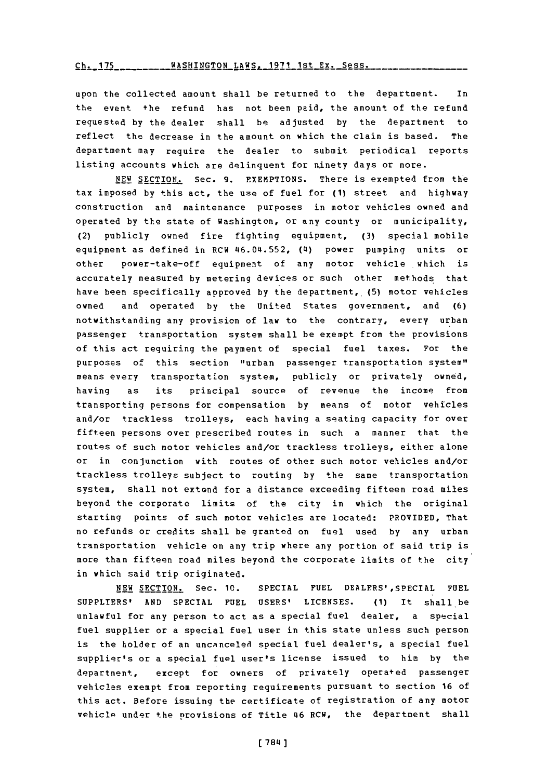Ch. 175 **ASHINGTON LAWS, 1971 1st Ex. Sess.** 

upon the collected amount shall be returned to the department. In the event +he refund has not been paid, the amount of the refund requested **by** the dealer shall be adjusted **by** the department to reflect the decrease in the amount on which the claim is based. The department may require the dealer to submit periodical reports listing accounts which are delinquent for ninety days or more.

**NEW SECTION.** Sec. **9. EXEMPTIONS.** There is exempted from the tax imposed **by** this act, the use of fuel for **(1)** street and highway construction and maintenance purposes in motor vehicles owned and operated **by** the state of Washington, or any county or municipality, (2) publicly owned fire fighting equipment, **(3)** special mobile equipment as defined in RCW 46.04.552, (4) power pumping units or other power-take-off equipment of any motor vehicle which is accurately measured **by** metering devices or such other methods that have been specifically approved **by** the department, (5) motor vehicles owned and operated **by** the United States government, and **(6)** notwithstanding any provision of law to the contrary, every urban passenger transportation system shall be exempt from the provisions of this act requiring the payment of special fuel taxes. For the purposes of this section "urban passenger transportation system" means every transportation system, publicly or privately owned, having as its principal source of revenue the income from transporting persons for compensation **by** means of motor vehicles and/or trackless trolleys, each having a seating capacity for over fifteen persons over prescribed routes in such a manner that the routes of such motor vehicles and/or trackless trolleys, either alone or in conjunction with routes of other such motor vehicles and/or trackless trolleys subject to routing **by** the same transportation system, shall not extend for a distance exceeding fifteen road miles beyond the corporate limits of the city in which the original starting points of such motor vehicles are located: PROVIDED, That no refunds or credits shall be granted on fuel used **by** any urban transportation vehicle on any trip where any portion of said trip is more than fifteen road miles beyond the corporate limits of the city in which said trip originated.

**NEW SECTION.** Sec. **10. SPECIAL FUEL DEALERS',SPECIAL FUEL SUPPLIERS' AND SPECIAL FUEL USERS' LICENSES. (1)** It shall be unlawful for any person to act as a special fuel dealer, a special fuel supplier or a special fuel user in this state unless such person is the holder of an uncancelei special fuel dealer's, a special fuel supplier's or a special fuel user's license issued to him **by** the department, except for owners of privately operated passenger vehicles exempt from reporting requirements pursuant to section **16** of this act. Before issuing the certificate of registration of any motor vehicle under the provisions of Title 46 RCW, the department shall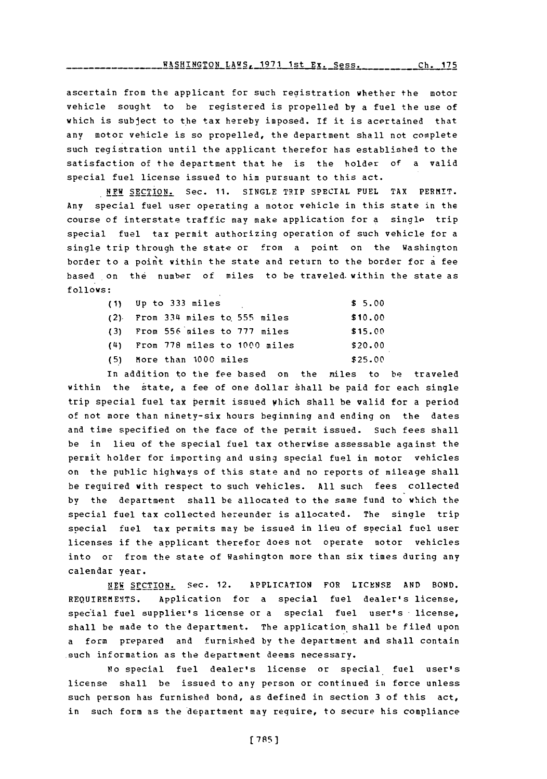**HA2ffINGTON LAWS, 1971** 1st Ex. Sess.

ascertain from the applicant for such registration whether the motor vehicle sought to be registered is propelled **by** a fuel the use of which is subject to the tax hereby imposed. If it is acertained that any motor vehicle is so propelled, the department shall not complete such registration until the applicant therefor has established to the satisfaction of the department that he is the holder of a valid special fuel license issued to him pursuant to this act.

NEW **SECTION.** Sec. **11. SINGLE** TRIP SPECIAL **FUEL** TAX PERMIT. Any special fuel user operating a motor vehicle in this state in the course of interstate traffic may make application for a single trip special fuel tax permit authorizing operation of such vehicle for a single trip through the state or from a point on the Washington border to a point within the state and return to the border for a fee based on the number of miles to be traveled within the state as **follows:**

| $(1)$ Up to 333 miles              | \$5.00  |
|------------------------------------|---------|
| $(2)$ From 334 miles to 555 miles  | \$10.00 |
| (3) From 556 miles to 777 miles    | \$15.00 |
| $(4)$ From 778 miles to 1000 miles | \$20.00 |
| (5) More than 1000 miles           | \$25.00 |

In addition to the fee based on the miles to be traveled within the state, a fee of one dollar shall be paid for each single trip special fuel tax permit issued which shall be valid for a period of not more than ninety-six hours beginning and ending on the dates and time specified on the face of the permit issued. Such fees shall be in lieu of the special fuel tax otherwise assessable against the permit holder for importing and using special fuel in motor vehicles on the public highways of this state and no reports of mileage shall be required with respect to such vehicles. **All** such fees collected **by** the department shall be allocated to the same fund to which the special fuel tax collected hereunder is allocated. The single trip special fuel tax permits may be issued in lieu of special fuel user licenses if the applicant therefor does not operate motor vehicles into or from the state of Washington more than six times during any calendar year.

**NEW** SrCTION. Sec. 12. APPLICATION FOR **LICENSE AND BOND.** REQUIREMENTS. Application for a special fuel dealer's license, special fuel supplier's license or a special fuel user's license, shall be made to the department. The application shall be filed upon a form prepared and furnished **by** the department and shall contain such information as the department deems necessary.

No special fuel dealer's license or special fuel user's license shall be issued to any person or continued in force unless such person has furnished bond, as defined in section **3** of this act, in such form as the department may require, to secure his compliance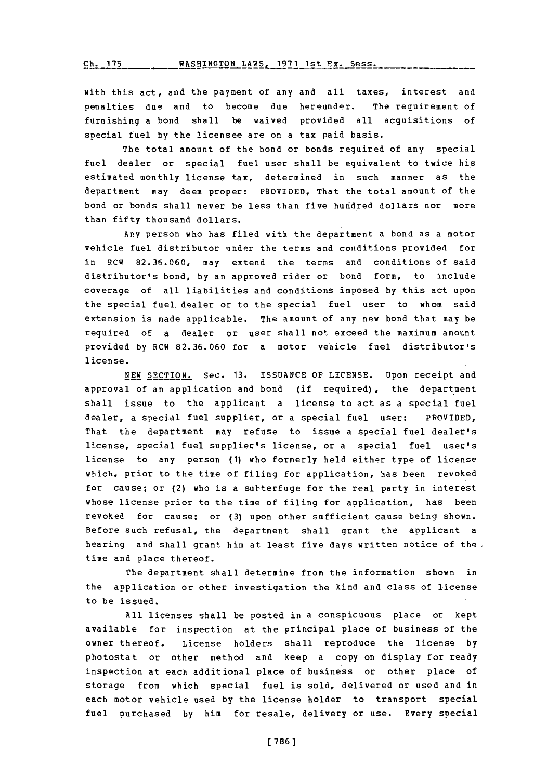**Ch. 175 WASHINGTON** LAWS **1q71** 1st Py. Spsg.

with this act, and the payment of any and all taxes, interest and penalties due and to become due hereunder. The requirement of furnishing a bond shall be waived provided all acquisitions of special fuel **by** the licensee are on a tax paid basis.

The total amount of the bond or bonds required of any special fuel dealer or special fuel user shall be equivalent to twice his estimated monthly license tax, determined in such manner as the department may deem proper: PROVIDED, That the total amount of the bond or bonds shall never be less than five hunidred dollars nor more than fifty thousand dollars.

Any person who has filed with the department a bond as a motor vehicle fuel distributor under the terms and conditions provided for in RCW **82.36.060,** may extend the terms and conditions of said distributor's bond, **by** an approved rider or bond form, to include coverage of all liabilities and conditions imposed **by** this act upon the special fuel dealer or to the special fuel user to whom said extension is made applicable. The amount of any new bond that may be required of a dealer or user shall not exceed the maximum amount provided **by** RCW **82.36.060** for a motor vehicle fuel distributor's license.

**NEW** SECTION. Sec. **13. ISSUANCE** OF LICENSE. Upon receipt and approval of an application and bond (if required), the department shall issue to the applicant a license to act as a special fuel dealer, a special fuel supplier, or a special fuel user: PROVIDED, That the department may refuse to issue a special fuel dealer's license, special fuel supplier's license, or a special fuel user's license to any person **(1)** who formerly held either type of license which, prior to the time of filing for application, has been revoked for cause; or (2) who is a subterfuge for the real party in interest whose license prior to the time of filing for application, has been revoked for cause; or **(3)** upon other sufficient cause being shown. Before such refusal, the department shall grant the applicant a hearing and shall grant him at least five days written notice of the time and place thereof.

The department shall determine from the information shown in the application or other investigation the kind and class of license to be issued.

**All** licenses shall be posted in a conspicuous place or kept available for inspection at the principal place of business of the owner thereof. License holders shall reproduce the license **by** photostat or other method and keep a copy on display for ready inspection at each additional place of business or other place of storage from which special fuel is sold, delivered or used and in each motor vehicle used **by** the license holder to transport special fuel purchased **by** him for resale, delivery or use. Every special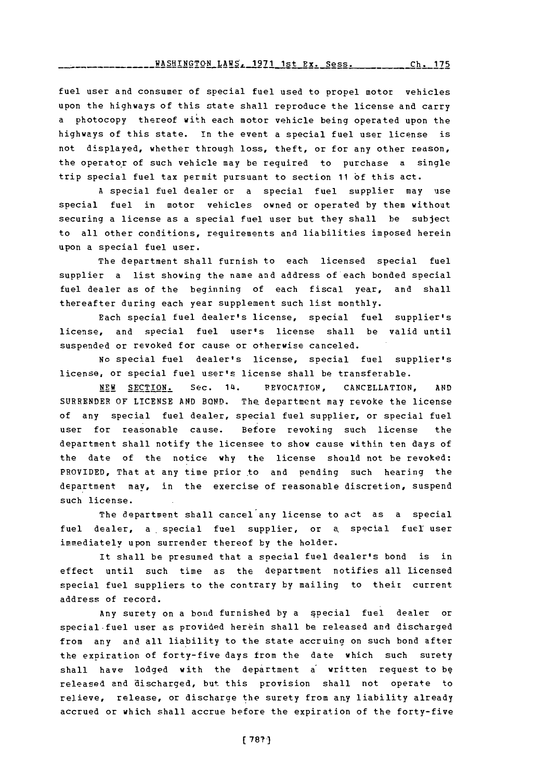fuel user and consumer of special fuel used to propel motor vehicles upon the highways of this state shall reproduce the license and carry a photocopy thereof with each motor vehicle being operated upon the highways of this state. In the event a special fuel user license is not displayed, whether through loss, theft, or for any other reason, the operator of such vehicle may be required to purchase a single trip special fuel tax permit pursuant to section **11 of** this act.

**A** special fuel dealer or a special fuel supplier may use special fuel in motor vehicles owned or operated **by** them without securing a license as a special fuel user but they shall be subject to all other conditions, requirements and liabilities imposed herein upon a special fuel user.

The department shall furnish to each licensed special fuel supplier a list showing the name and address of each bonded special fuel dealer as **of** the beginning of each fiscal year, and shall thereafter during each year supplement such list monthly.

Each special fuel dealer's license, special fuel supplier's license, and special fuel user's license shall be valid until suspended or revoked for cause or otherwise canceled.

**No** special fuel dealer's license, special fuel supplier's license, or special fuel user's license shall be transferable.

**NEW** SECTION. Sec. **14. PEVOCATION, CANCELLATION, AND** SURRENDER **OF LICENSE AND BOND.** The department may revoke the license of any special fuel dealer, special fuel supplier, or special fuel user for reasonable cause. Before revoking such license the department shall notify the licensee to show cause within ten days of the date of the notice why the license should not be revoked: PROVIDED, That at any time prior to and pending such hearing the department may, in the exercise of reasonable discretion, suspend such license.

The department shall cancel any license to act as a special fuel dealer, a special fuel supplier, or a special fuel user immediately upon surrender thereof **by** the holder.

It shall be presumed that a special fuel dealer's bond is in effect until such time as the department notifies all licensed special fuel suppliers to the contrary **by** mailing to their current address of record.

Any surety on a bond furnished **by** a §pecial fuel dealer or special-fuel user as provided herein shall be released and discharged from any and all liability to the state accruing on such bond after the expiration of forty-five days from the date which such surety shall have lodged with the department a written request to **bg** released and discharged, but this provision shall not operate to relieve, release, or discharge the surety from any liability already accrued or which shall accrue before the expiration of the forty-five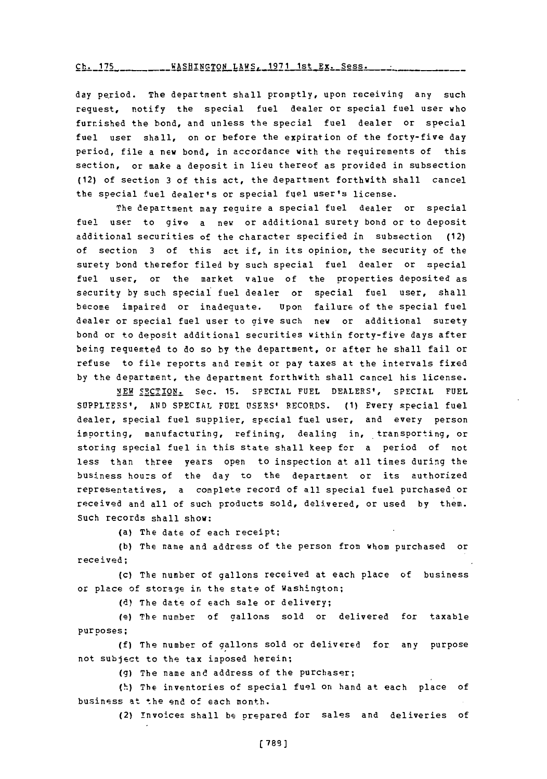*rb-* **I** 7r, WAqHTNaTQN LAWS. **1971** 1st Ex. Sess.

day period. The department shall promptly, upon receiving any such request, notify the special fuel dealer or special fuel user who furnished the bond, and unless the special fuel dealer or special fuel user shall, on or before the expiration of the forty-five day period, file a new bond, in accordance with the requirements of this section, or make a deposit in lieu thereof as provided in subsection (12) of section **3** of this act, the department forthwith shall cancel the special fuel dealer's or special fuel user's license.

The department may require a special fuel dealer or special fuel user to give a new or additional surety bond or to deposit additional securities of the character specified in subsection (12) of section **3** of this act if, in its opinion, the security of the surety bond therefor filed **by** such special fuel dealer or special fuel user, or the market value of the properties deposited as security **by** such special fuel dealer or special fuel user, shall become impaired or inadequate. Upon failure of the special fuel dealer or special fuel user to give such new or additional surety bond or to deposit additional securities within forty-five days after being requested to do so **by** the department, or after he shall fail or refuse to file reports and remit or pay taxes at the intervals fixed **by** the department, the department forthwith shall cancel his license.

**NEW** SECTION. Sec. **15.** SPECIAL **FUEL** DEALERS', **SPECIAL FUEL SUPPLIERS', AND SPECIAL FUEL USERS'** RECORDS. **(1)** Every special fuel dealer, special fuel supplier, special fuel user, and every person importing, manufacturing, refining, dealing in, transporting, or storing special fuel in this state shall keep fcr a period of not less than three years open to inspection at all times during the business hours of the day to the department or its authorized representatives, a complete record of all special fuel purchased or received and all of such products sold, delivered, or used **by** them. Such records shall show:

(a) The date of each receipt;

**(b)** The name and address of the person from whom purchased or received;

(c) The number of gallons received at each place of business or place of storage in the state of Washington;

**(d)** The date of each sale or delivery;

(e) The number of gallons sold or delivered for taxable purposes;

**(f)** The number of gallons sold or delivered for any purpose not subject to the tax imposed herein;

**(g)** The name and address of the purchaser;,

(h) The inventories of special fuel on hand at each place of business at the end of each month.

(2) invoices shall be prepared for sales and deliveries of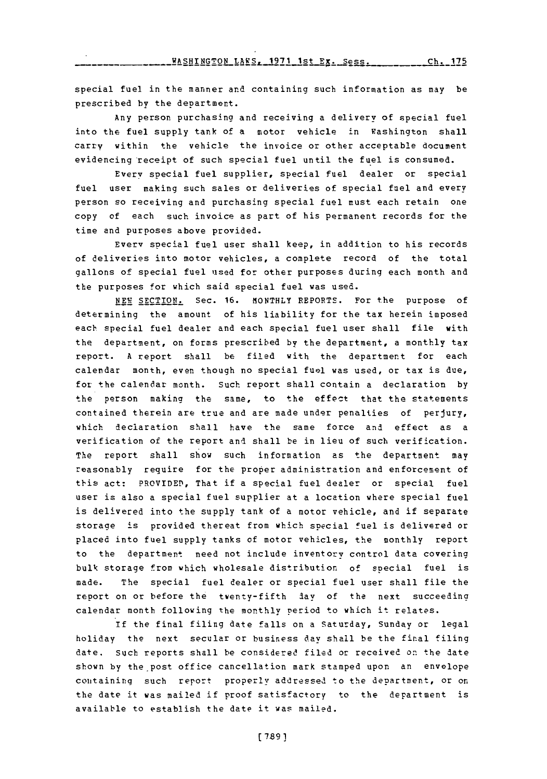**-WASHINGTON LAWS, 1971 Ist Ex. Sess. Ch. 175**

special fuel in the manner and containing such information as may be prescribed by the department.

Any person purchasing and receiving a delivery of special fuel into the fuel supply tank of a motor vehicle in Washington shall carry within the vehicle the invoice or other acceptable document evidencing receipt of such special fuel until the fuel is consumed.

Every special fuel supplier, special fuel dealer or special fuel user making such sales or deliveries of special fuel and every person so receiving and purchasing special fuel must each retain one copy of each such invoice as part of his permanent records for the time and purposes above provided.

Every special fuel user shall keep, in addition to his records of deliveries into motor vehicles, a complete record of the total gallons of special fuel used for other purposes during each month and the purposes for which said special fuel was used.

**NEW SECTION.** Sec. **16.** MONTHLY REPORTS. For the purpose of determining the amount of his liability for the tax herein imposed each special fuel dealer and each special fuel user shall file with the department, on forms prescribed **by** the department, a monthly tax report. **A** report shall be filed with the department for each calendar month, even though no special fuel was used, or tax is due, for the calendar month. Such report shall contain a declaration **by** the person making the same, to the effect that the statements contained therein are true and are made under penalties of perjury, which declaration shall have the same force and effect as a verification of the report and shall be in lieu of such verification. The report shall show such information as the department may reasonably require for the proper administration and enforcement of this act: PROVIDED, That if a special fuel dealer or special fuel user is also a special fuel supplier at a location where special fuel is delivered into the supply tank of a motor vehicle, and if separate storage is provided thereat from which special fuel is delivered or placed into fuel supply tanks of motor vehicles, the monthly report to the department need not include inventory control data covering bulk storage from which wholesale distribution of special fuel is made. The special fuel dealer or special fuel user shall file the report on or before the twenty-fifth day of the next succeeding calendar month following the monthly period to which it relates.

If the final filing date falls on a Saturday, Sunday or legal holiday the next secular or business day shall be the final filing date. Such reports shall be considered filed or received on the date shown **by** the post office cancellation mark stamped upon an envelope containing such report properly addressed to the department, or on the date it was mailed **If** proof satisfactory to the department is available to establish the date it was mailed.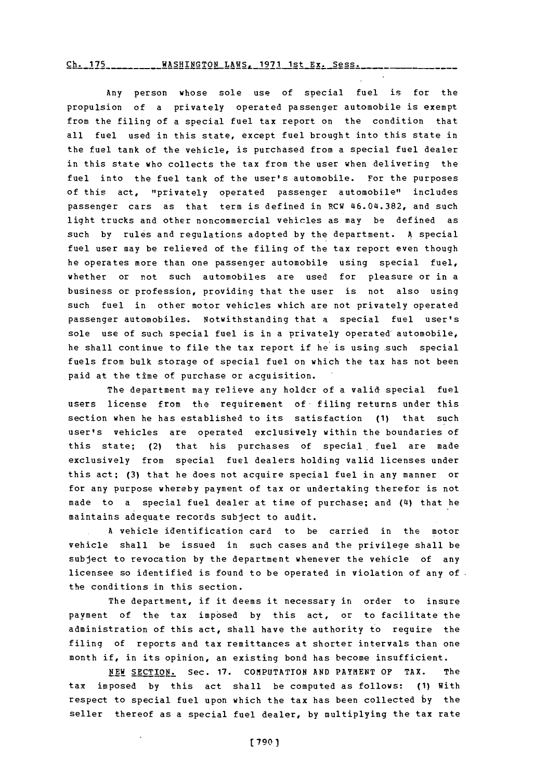## Ch. 175WASHINGTON LAWS. **1971** 1st **Ex.** Sess. **Ch. 175**

Any person whose sole use of special fuel is for the propulsion of a privately operated passenger automobile is exempt from the filing of a special fuel tax report on the condition that all fuel used in this state, except fuel brought into this state in the fuel tank of the vehicle, is purchased from a special fuel dealer in this state who collects the tax from the user when delivering the fuel into the fuel tank of the user's automobile. For the purposes of this act, "privately operated passenger automobile" includes passenger cars as that term is defined in RCW 46.04.382, and such light trucks and other noncommercial vehicles as may be defined as such by rules and regulations adopted **by** the department. **A** special fuel user may be relieved of the filing of the tax report even though he operates more than one passenger automobile using special fuel, whether or not such automobiles are used for pleasure or in a business or profession, providing that the user is not also using such fuel in other motor vehicles which are not privately operated passenger automobiles. Notwithstanding that a special fuel user's sole use of such special fuel is in a privately operated'automobile, he shall continue to file the tax report if he is using such special fuels from bulk storage of special fuel on which the tax has not been paid at the time of purchase or acquisition.

The department may relieve any holder of a valid special fuel users license from the requirement of filing returns under this section when he has established to its satisfaction **(1)** that such user's vehicles are operated exclusively within the boundaries of this state; (2) that his purchases of special, fuel are made exclusively from special fuel dealers holding valid licenses under this act; **(3)** that he does not acquire special fuel in any manner or for any purpose whereby payment of tax or undertaking therefor is not made to a special fuel dealer at time of purchase; and (14) that he maintains adequate records subject to audit.

**A** vehicle identification card to be carried in the motor vehicle shall be issued in such cases and the privilege shall be subject to revocation **by** the department whenever the vehicle of any licensee so identified is found to be operated in violation of any of. the conditions in this section.

The department, if it deems it necessary in order to insure payment of the tax imposed **by** this act, or to facilitate the administration of this act, shall have the authority to require the filing of reports and tax remittances at shorter intervals than one month if, in its opinion, an existing bond has become insufficient.

**NEW SECTION.** Sec. **17. COMPUTATION AND PAYMENT** OF TAX. The tax imposed **by** this act shall be computed as follows: **(1)** With respect to special fuel upon which the tax has been collected **by** the seller thereof as a special fuel dealer, **by** multiplying the tax rate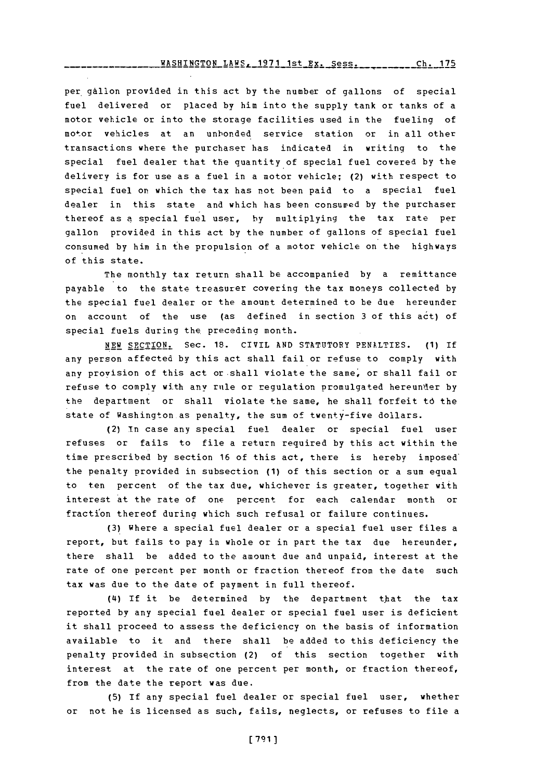# **WASHINGTON** LAWS. **1971** 1st Ex. Sess.Ch17 **Ch. 175**

per gallon provided in this act by the number of gallons of special fuel delivered or placed **by** him into the supply tank or tanks of a motor vehicle or into the storage facilities used in the fueling of motor vehicles at an unbonded service station or in all other transactions where the purchaser has indicated in writing to the special fuel dealer that the quantity of special fuel covered **by** the delivery is for use as a fuel in a motor vehicle; (2) with respect to special fuel or which the tax has not been paid to a special fuel dealer in this state and which has been consured **by** the purchaser thereof as **a** special fuel user, **by** multiplying the tax rate per gallon provided in this act **by** the number of gallons of special fuel consumed **by** him in the propulsion of a motor vehicle on the highways **of** this state.

The monthly tax return shall be accompanied **by** a remittance payable to the state treasurer covering the tax moneys collected **by** the special fuel dealer or the amount determined to be due hereunder on account of the use (as defined in section **3** of this act) of special fuels during the preceding month.

NEW SECTION. Sec. **18.** CIVIL **AND** STATUTORY PENALTIES. **(1) if** any person affected **by** this act shall fail or refuse to comply with any provision of this act or shall violate the same; or shall fail or refuse to comply with any rule or regulation promulgated hereun'der **by** the department or shall violate the same, he shall forfeit **t6** the state of Washington as penalty, the sum of twenty-five dollars.

(2) In case any special fuel dealer or special fuel user refuses or fails to file a return required **by** this act within the time prescribed **by** section **16** of this act, there is hereby imposed' the penalty provided in subsection **(1)** of this section or a sum equal to ten percent of the tax due, whichever is greater, together with interest at the rate of one percent for each calendar month or fraction thereof during which such refusal or failure continues.

**(3)** Where a special fuel dealer or a special fuel user files a report, but fails to pay in whole or in part the tax due hereunder, there shall be added to the amount due and unpaid, interest at the rate of one percent per month or fraction thereof from the date such tax was due to the date of payment in full thereof.

(4) If it be determined by the department that the tax reported by any special fuel dealer or special fuel user is deficient it shall proceed to assess the deficiency on the basis of information available to it and there shall be added to this deficiency the penalty provided in subsection (2) of this section together with interest at the rate of one percent per month, or fraction thereof, from the date the report was due.

**(5)** If any special fuel dealer or special fuel user, whether or not he is licensed as such, fails, neglects, or refuses to file a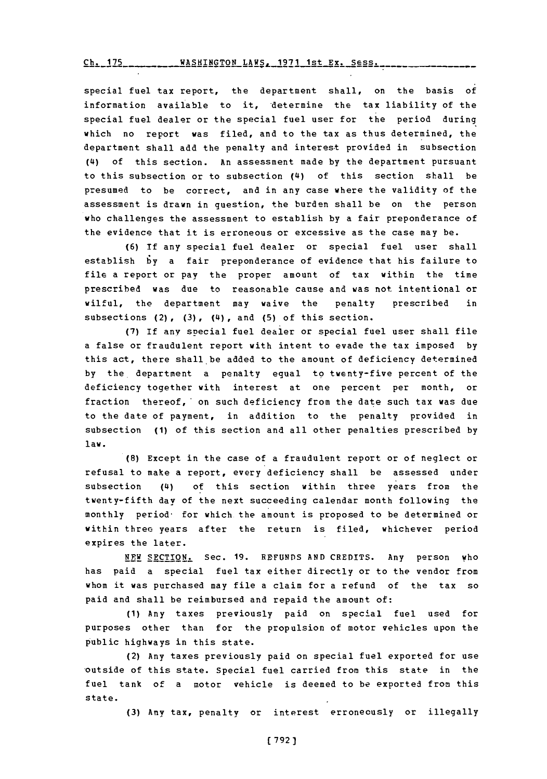WASHINGTON LAWS. **1971** 1st Ex. Sess. **Ch <sup>175</sup>**

special fuel tax report, the department shall, on the basis of information available to it, 'determine the tax liability of the special fuel dealer or the special fuel user for the period during which no report was filed, and to the tax as thus determined, the department shall add the penalty and interest provided in subsection ('4) **of** this section. An assessment made **by** the department pursuant to this subsection or to subsection **('4)** of this section shall be presumed to be correct, and in any case where the validity of the assessment is drawn in question, the burden shall be on the person who challenges the assessment to establish **by** a fair preponderance of the evidence that it is erroneous or excessive as the case may be.

**(6) If** any special fuel dealer or special fuel user shall establish **by** a fair preponderance of evidence that his failure to file a report or pay the proper amount of tax within the time prescribed was due to reasonable cause and was not intentional or wilful, the department may waive the penalty prescribed in subsections (2) , **(3) ,** ('4) , and **(5)** of this section.

**(7)** If any special fuel dealer or special fuel user shall file a false or fraudulent report with intent to evade the tax imposed **by** this act, there shall be added to the amount of deficiency determined **by** the, department a penalty equal to twenty-five percent of the deficiency together with interest at one percent per month, or fraction thereof,' on such deficiency from the date such tax was due to the date of payment, in addition to the penalty provided in subsection **(1)** of this section and all other penalties prescribed **by** law.

**(8)** Except in the case of a fraudulent report or of neglect or refusal to make a report, every deficiency shall be assessed under subsection (4) of this section within three years from the twenty-fifth day of the next succeeding calendar month following the monthly period- for which the amount is proposed to be determined or within three years after the return is filed, whichever period expires the later.

NPEW **SECTION.** Sec. **19. REFUNDS AND** CREDITS. Any person who has paid a special fuel tax either directly or to the vendor from whom it was purchased may file a claim for a refund of the tax so paid and shall be reimbursed and repaid the amount of:

**(1)** Any taxes previously paid on special fuel used for purposes other than for the propulsion of motor vehicles upon the public highways in this state.

(2) Any taxes previously paid on special fuel exported for use outside of this state. Special fuel carried from this state in the fuel tank of a motor vehicle is deemed to be exported from this state.

**(3)** Any tax, penalty or interest erroneously or illegally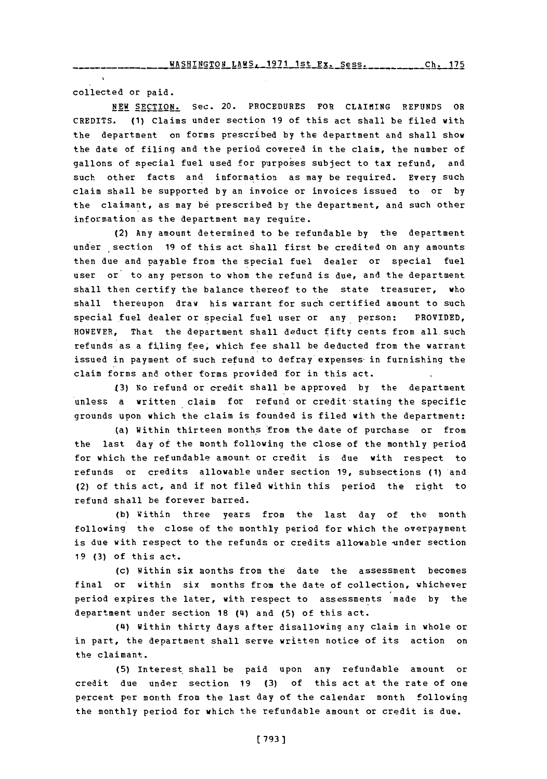col lected or paid.

**NEW** SECTION. Sec. 20. PROCEDURES FOR CLAIMING **REFUNDS** OR CREDITS . **(1)** Claims under section **19 of** this act shall be filed with the department on forms prescribed **by** the department and shall show the date of filing and the period covered in the claim, the number of gallons of special fuel used for purposes subject to tax refund, and such other facts and information as may be required. Every such claim shall be supported **by** an invoice or invoices issued to or **by** the claimant, as may be prescribed by the department, and such other information as the department may require.

(2) Any amount determined to be refundable **by** the department under section 19 of this act shall first be credited on any amounts then due and payable from the special fuel dealer or special fuel user or to any person to whom the refund is due, and the department shall then certify the balance thereof to the state treasurer, who shall thereupon draw his warrant for such certified amount to such special fuel dealer or special fuel user or any person: PROVIDED, HOWEVER, That the department shall deduct fifty cents from all such refunds as a filing fee, which fee shall be deducted from the warrant issued in payment of such refund to defray expenses in furnishing the claim forms and other forms provided for in this act.

**13)** No refund or credit shall be approved **by** the department unless a written claim for refund or credit stating the specific grounds upon which the claim is founded is filed with the department:

(a) Within thirteen months \*from the date of purchase or from the last day of the month following the close of the monthly period for which the refundable amount or credit is due with respect to refunds or credits allowable under section **19,** subsections **(1)** and (2) of this act, and if not filed within this period the right to refund shall be forever barred.

**(b)** within three years from the last day of the month following the close of the monthly period for which the overpayment is due with respect to the refunds or credits allowable under section **19 (3)** of this act.

(c) Within six months from the date the assessment becomes final or within six months from the date of collection, whichever period expires the later, with respect to assessments made **by** the department under section **18 (4)** and **(5) of** this act.

**(4i)** within thirty days after disallowing any claim in whole or in part, the department shall serve written notice of its action on the claimant.

**(5)** Interest. shall be paid upon any refundable amount or credit due under section **19 (3)** of this act at the rate of one percent per month from the last day of the calendar month following the monthly period for which the refundable amount or credit is due.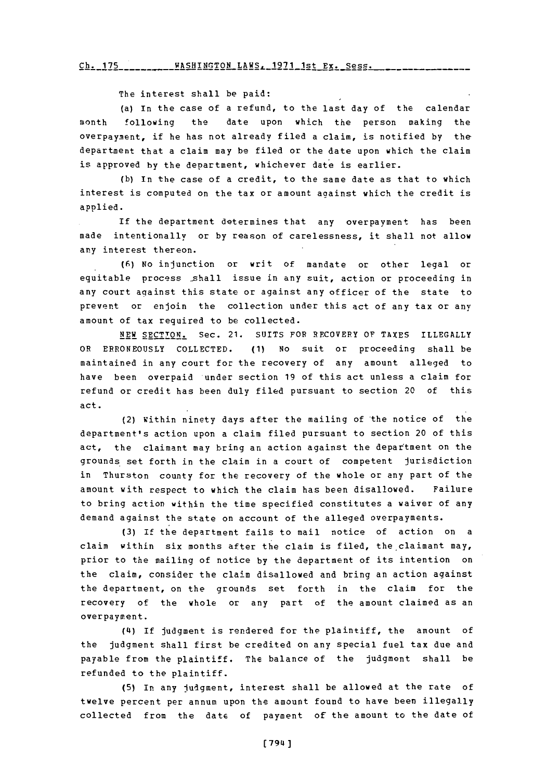# Ch. 175WASHINGTON LAWS. **1971** 1st **Fr.** Sess **Ch. 175**

The interest shall be paid:

(a) In the case of a refund, to the last day of the calendar month following the date upon which the person making the overpayment, if he has not already filed a claim, is notified **by** the, department that a claim may **be** filed or the date upon which the claim is approved by the department, whichever date is earlier.

**(b)** In the case of a credit, to the same date as that to which interest is computed on the tax or amount against which the credit is applied.

If the department determines that any overpayment has been made intentionally or **by** reason of carelessness, it shall not allow any interest thereon.

**(6) No** injunction or writ of mandate or other legal or equitable process shall issue in any suit, action or proceeding in any court against this state or against any officer of the state to prevent or enjoin the collection under this act of any tax or any amount of tax required to be collected.

**NEW SECTTON.** Sec. 21. SUITS FOR RECOVERY OF **TAXES** ILLEGALLY OR ERRONEOUSLY **COLLECTED. (1)** No suit or proceeding shall be maintained in any court for the recovery of any amount alleged to have been overpaid under section **19** of this act unless a claim for refund or credit has been duly filed pursuant to section 20 of this act.

(2) within ninety days after the mailing of the notice of the department's action upon a claim filed pursuant to section 20 of this act, the claimant may bring an action against the department on the grounds. set forth in the claim in a court of competent jurisdiction in Thurston county for the recovery of the whole or any part of the amount with respect to which the claim has been disallowed. Failure to bring action within the time specified constitutes a waiver of any demand against the state on account of the alleged overpayments.

**(3)** If the department fails to mail notice of action on a claim within six months after the claim is filed, the claimant may, prior to the mailing of notice **by** the department of its intention on the claim, consider the claim disallowed and bring an action against the department, on the grounds set forth in the claim for the recovery of the whole or any part of the amount claimed as an overpayment.

(41) If judgment is rendered for the plaintiff, the amount of the judgment shall first be credited on any special fuel tax due and payable from the plaintiff. The balance of the judgment shall be refunded to the plaintiff.

**(5)** In any judgment, interest shall be allowed at the rate of twelve percent per annum upon the amount found to have been illegally collected from the date of payment of' the amount to the date of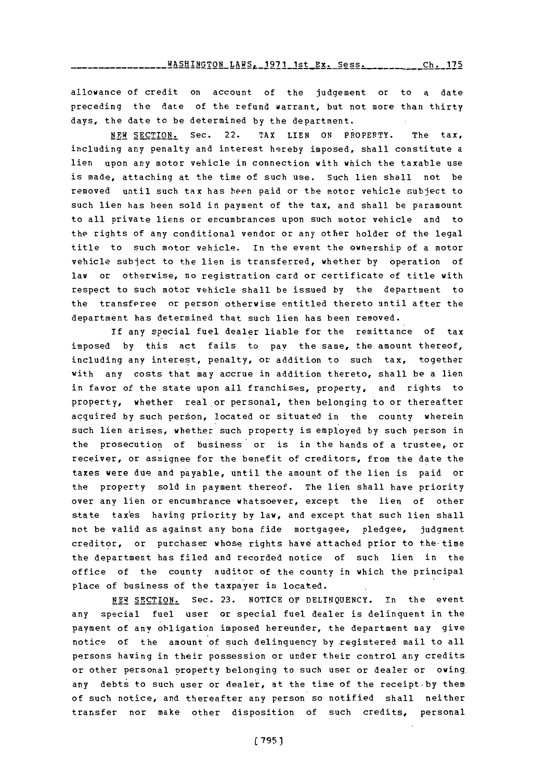**WASHINGTON LAWS, 1971 1st Ex. Sess. Ch. 175** 

allowance of credit on account of the judgement or to a date preceding the date of the refund warrant, but not more than thirty days, the date to be determined **by** the department.

NEW SECTION. Sec. 22. TAX LIEN **ON** PROPERTY. The tax, including any penalty and interest hereby imposed, shall constitute a lien upon any motor vehicle in connection with which the taxable use is made, attaching at the time of such use. Such lien shall not be removed until such tax has been paid or the motor vehicle subject to such lien has been sold in payment of the tax, and shall be paramount to all private liens or encumbrances upon such motor vehicle and to the rights of any conditional vendor or any other holder of the legal title to such motor vehicle. In the event the ownership of a motor vehicle subject to the lien is transferred, whether **by** operation of law or otherwise, no registration card or certificate of title with respect to such motor vehicle shall be issued **by** the department to the transferee or person otherwise entitled thereto until after the department has determined that such lien has been removed.

**If** any special fuel dealer liable for the remittance of tax imposed **by** this act fails to pay the same, the amount thereof, including any interest, penalty, or addition to such tax, together with any costs that may accrue in addition thereto, shall be a lien in favor of the state upon all franchises, property, and rights to property, whether real or personal, then belonging to or thereafter acquired **by** such person, located or situated in the county wherein such lien arises, whether such property is employed **by** such person in the prosecution of business or is in the hands of a trustee, or receiver, or assignee for the benefit of creditors, from the date the taxes were due and payable, until the amount of the lien is paid or the property sold in payment thereof. The lien shall have priority over any lien or encumbrance whatsoever, except the lien of other state taxes having priority by law, and except that such lien shall not be valid as against any bona fide mortgagee, pledgee, judgment creditor, or purchaser whose rights have attached prior to the- time the department has filed and recorded notice of such lien in the office of the county auditor of the county in which the principal place of business of the taxpayer is located.

**NEW** SECTION. Sec. **23.** NOTICE **OF DELINQUENCY.** in the event any special fuel user or special fuel dealer is delinquent in the payment of any obligation imposed hereunder, the department may give notice of the amount of such delinquency **by** registered mail to all persons having in their possession or under their control any credits or other personal propetty belonging to such user or dealer or owing. any debts to such user or dealer, at the time of the receipt-by them of such notice, and thereafter any person so notified shall neither transfer nor make other disposition of such credits, personal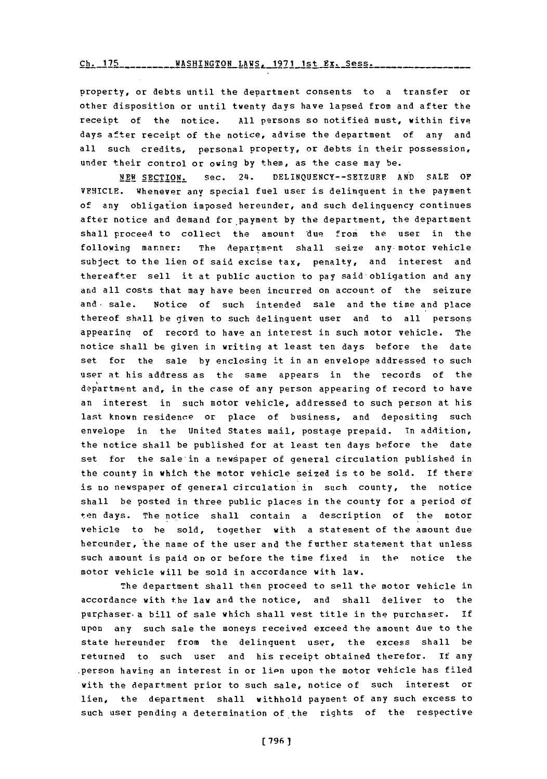Ch. 175WASHINGTON LAWS. **1971** 1st Ex. Sess. **Ch. 175**

property, or debts until the department consents to a transfer or other disposition or until twenty days have lapsed from and after the receipt **Of** the notice. **All** persons so notified must, within five days after receipt of the notice, advise the department of any and all such credits, personal property, or debts in their possession, under their control or owing **by** them, as the case may be.

**NEW SECTION.** Sec. 24. DELINQUENCY--SEIZURE AND SALE OF VEHICLE. Whenever any special fuel user is delinquent in the payment of any obligation imposed hereunder, and such delinquency continues after notice and demand for payment **by** the department, the department shall proceed to collect the amount 'due from the user in the following manner: The department shall seize any motor vehicle subject to the lien of said excise tax, penalty, and interest and thereafter sell it at public auction to pay said-obligation and any and all costs that may have been incurred on account of the seizure and sale. Notice of such intended sale and the time and place thereof shall be given to such delinquent user and to all persons appearing of record to have an interest in such motor vehicle. The notice shall be given in writing at least ten days before the date set for the sale **by** enclosing it in an envelope addressed to such user at his address as the same appears in the records of the department and, in the case of any person appearing of record to have an interest in such motor vehicle, addressed to such person at his last known residence or place of business, and depositing such envelope in the United States mail, postage prepaid. In addition, the notice shall be published for at least ten days before the date set for the sale in a newspaper of general circulation published in the county in which the motor vehicle seized is to be sold. If there is no newspaper of general circulation in such county, the notice shall be posted in three public places in the county for a period **6f** ten days. The notice shall contain a description of the motor vehicle to he sold, together with a statement of the amount due hereunder, the name of the user and the further statement that unless such amount is paid on or before the time fixed in the notice the motor vehicle will be sold in accordance with law.

The department shall then proceed to sell the motor vehicle in accordance with the law and the notice, and shall deliver to the purchaser a bill of sale which shall vest title in the purchaser. If upon any such sale the moneys received exceed the amount due to the state hereunder from the delinquent user, the excess shall be returned to such user and his receipt obtained therefor. **If** any person having an interest in or lien upon the motor vehicle has filed with the department prior to such sale, notice of such interest or lien, the department shall withhold payment of any such excess to such user pending a determination of the rights of the respective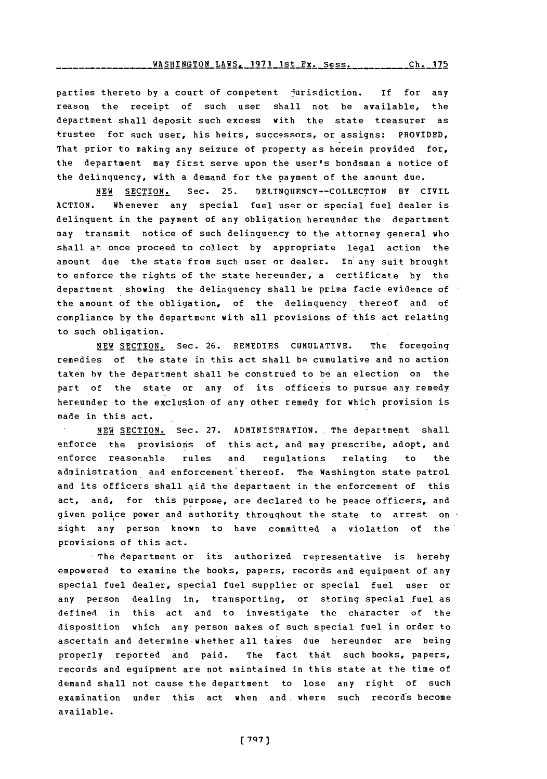#### WASHINGTON LAWS, 1971 1st Ex. Sess. Ch. 175

parties thereto **by** a court of competent jurisdiction. If for any reason the receipt of such user shall not be available, the department shall deposit such excess with the state treasurer as trustee for such user, his heirs, successors, or assigns: PROVIDED, That prior to making any seizure of property as herein provided for, the department may first serve upon the user's bondsman a notice of the delinquency, with a demand for the payment of the amount due.

**NEW** SECTION. Sec. **25. DELINQUENCY--COLLECTION** BY CIVIL **ACTION.** whenever any special fuel user or special fuel dealer is delinquent in the payment of any obligation hereunder the department may transmit notice of such delinquency to the attorney general who shall at once proceed to collect **by** appropriate legal action the amount due the state from such user or dealer. In any suit brought to enforce the rights of the state hereunder, a certificate **by** the department showing the delinquency shall be prima facie evidence of the amount of the obligation, of the delinquency thereof and of compliance **by** the department with all provisions of this act relating to such obliqation.

**NEW SECTION.** Sec. **26.** REMEDIES **CUMULATIVE.** The foregoing remedies of the state in this act shall be cumulative and no action taken **by** the department shall be construed to **be** an election on the part of the state or any of its officers to pursue any remedy hereunder to the exclusion of any other remedy for which provision is made in this act.

**NEW SECTION.** Sec. **27.** ADMINISTRATION.. The department shall enforce the provisions of this act, and may prescribe, adopt, and enforce reasonable rules and regulations relating to the administration and enforcement thereof. The Washington state- patrol and its officers shall aid the department in the enforcement of this act, and, for this purpose, are declared to be peace officers, and given police power and authority throughout the state to arrest on  $\cdot$ sight any person known to have committed a violation of the provisions of this act.

The department or its authorized representative is hereby empowered to examine the books, papers, records and equipment of any special fuel dealer, special fuel supplier or special fuel user or any person dealing in, transporting, or storihg special fuel as defined in this act and to investigate the character of the disoosition which any person makes of such special fuel in order to ascertain and determine-whether all taxes due hereunder are being properly reported and paid. The fact that such books, papers, records and equipment are not maintained in this state at the time of demand shall not cause the department to lose any right of such examination under this act when and where such records become available.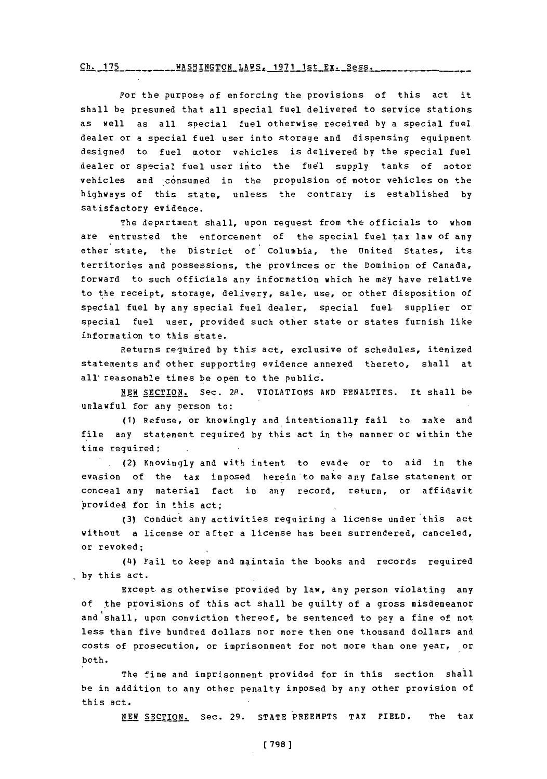$\frac{\text{ch.125}}{1.5}$ **TA SHINGTON LAWS, 1971 1st Ex. Sess.** 

For the purpose of enforcing the provisions of this act it shall be presumed that all special fuel delivered to service stations as well as all special fuel otherwise received **by** a special fuel dealer or a special fuel user into storage and dispensing equipment designed to fuel motor vehicles is delivered **by** the special fuel dealer or special fuel user into the fuel supply tanks of motor vehicles and consumed in the propulsion of motor vehicles on the highways of this state, unless the contrary is established **by** satisfactory evidence.

The department shall, upon request from the officials to whom are entrusted the enforcement of the special fuel tax law of any other state, the District of Columbia, the United States, its territories and possessions, the provinces or the Dominion of Canada, forward to such officials any information which he may have relative to the receipt, storage, delivery, sale, use, or other disposition of special fuel **by** any special fuel dealer, special fuel supplier or special fuel user, provided such other state or states furnish like information to this state.

Returns required **by** this act, exclusive of schedules, itemized statements and other supporting evidence annexed thereto, shall at all' reasonable times be open to the public.

**NEW** SECTION. Sec. 2R. VIOLATIONS **AND PENALTIES.** It shall be unlawful for any person to:

**(1)** Refuse, or knowingly and intentionally fail to make and file any statement required **by** this act in the manner or within the time required;

(2) Knowingly and with intent to evade or to aid in the evasion of the tax imposed herein to make any false statement or conceal any material fact in any record, return, or affidavit 'provided for in this act;

**(3)** Conduct any activities requiring a license under this act without a license or after a license has been surrendered, canceled, or revoked;

**(4i)** Fail to keep and maintain the books and records required **by** this act.

Except-as otherwise provided **by** law, any person violating any of the provisions of this act shall be guilty of a gross misdemeanor and shall, upon conviction thereof, be sentenced to pay a fine of not less than five hundred dollars nor more then one thousand dollars and costs of prosecution, or imprisonment for not more than one year, or both.

The fine and imprisonment provided for in this section shall be in addition to any other penalty imposed **by** any other provision of this act.

**NEW SECTION.** Sec. 29. STATE PREEMPTS TAX FIELD. The tax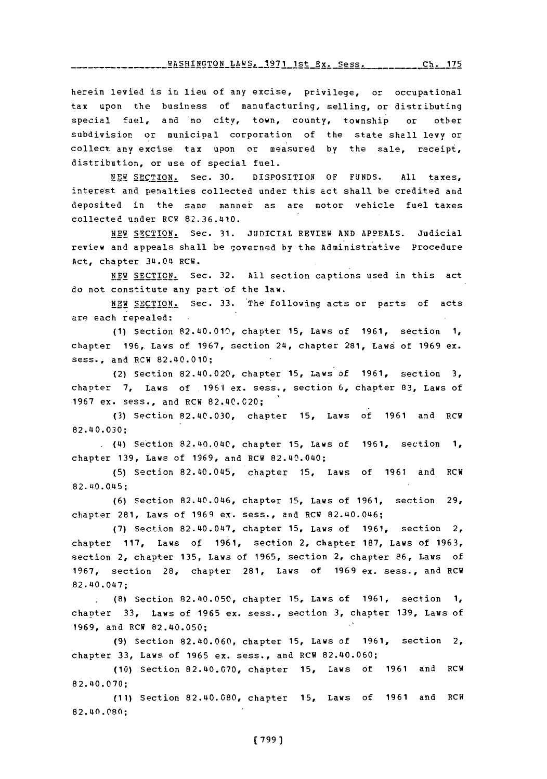**WASHINGTON LAWS, 1971 1st Ex. Sess. Ch. 175** 

herein levied is in lieu of any excise, privilege, or occupational tax upon the business of manufacturing, selling, or distributing special fuel, and no citv, town, county, township or other subdivision or municipal corporation of the state shall levy or collect any excise tax upon or measured **by** the sale, receipt, distribution, or use of special fuel.

NEW SECTION. Sec. **30.** DISPOSITION OF **FUNDS. All** taxes, interest and penalties collected under this act shall be credited and deposited in the same manner as are motor vehicle fuel taxes collected under RCW **82.36.410.**

NEW **SECTION.** Sec. **31. JUDICIAL** REVIEW **AND APPEALS.** Judicial review and appeals shall be governed by the Administrative Procedure Act, chapter **3U.04** RCW.

**NEW** SECTION. Sec. **32. All** section captions used in this act do not constitute any part of the law.

NEW SECTION.- Sec. **33.** The following acts or parts of acts are each repealed:  $\sim$ 

**(1)** Section 82.40.010, chapter **15,** Laws of **1961,** section **1,** chapter **196,.** Laws of **1967,** section 24, chapter 281, Laws of **1969** ex. sess., and RCW 82.40.010;

(2) Section 82.40.020, chapter **15,** Laws of **1961,** section **3,** chapter **7,** Laws **of 1961** ex. mess., section **6,** chapter **83,** Laws of **1967** ex. sess., and RCW 82.40.020;

**(3)** Section 82.40.030, chapter **15,** Laws of **1961** and RCW **82. 40.030 ;**

.(4) Section 82.40.040, chapter **15,** Laws of **1961,** section **1,** chapter **139,** Laws of **1969,** and RCW 82.40.040;

**(5)** Section 82.40.045, chapter **15,** Laws of **1961** and RCW 82. 40.045;

**(6)** Section 82.40.046, chapter **15,** Laws of **1961,** section **29,** chapter 281, Laws of 1969 ex. sess., and RCW 82.40.046;

**(7)** Section 82.40.047, chapter **15.** Laws of **1961,** section 2, chapter **117,** Laws **of 1961,** section 2, chapter **187,** Laws of **1963,** section 2, chapter **135,** Laws of **1965,** section 2, chapter **86,** Laws of 1967, section 28, chapter 281, Laws of 1969 ex. sess., and RCW 82. 40. 047;

**.(8)** Section 82.40.050, chapter **15,** Laws of **1961,** section **1,** chaoter **33,** Laws of **1965** ex. mess., section **3,** chapter **139,** Laws of **1969,** and RCW 82.40.050;

**(9)** Section 82.40.060, chapter **15,** Laws of **1961,** section 2, chapter 33, Laws of 1965 ex. sess., and RCW 82.40.060;

**(10)** Section **82.410.070,** chapter **15,** Laws of **1961** and RCW **82.40.070;**

**(11)** Section 82.40.080, chapter **15,** Laws of **1961** and RCW 82.40.080;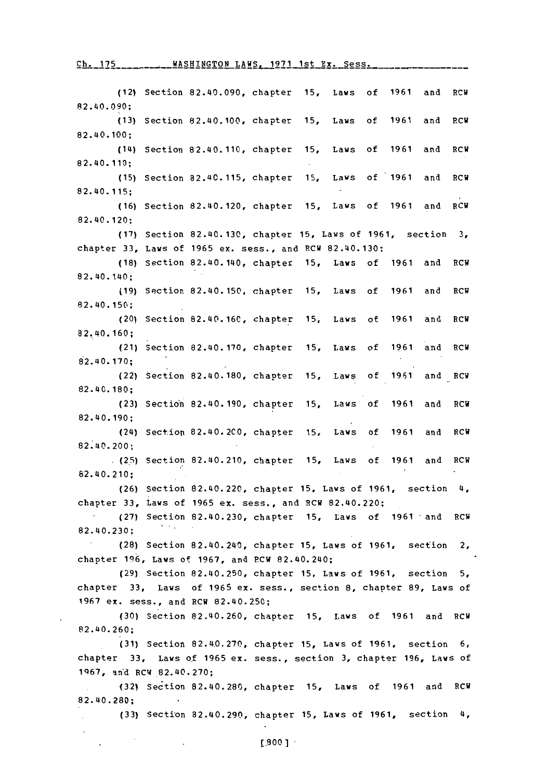## Ch. 175 WASHINGTON LAWS, 1971 1st Ex. Sess.

(12) Section 82.40.090, chapter **15,** Laws of **1961** and RCW \$2.40.0 90; **(13)** Section 82.40.100, chapter **15,** Laws of **1961** and P.CW 82. 40. **100 ;** (14) Section 82.40.110, chapter **15,** Laws of **1961** and RCW 82.40.1 10; **(15)** Section 82.40.115, chapter **15,** Laws of **1961** and RCV 82. 40. 115; **(16)** Section 82.40.120, chapter **15,** Laws of **1961** and RCW 82. 40. 120; **(17)** Section 82.40. 130, chapter **15,** Laws of **1961,** section **3,** chapter **33,** Laws of **1965** ex. sess., and RCW 82.40.130: **(18)** Section 82.40.140, chapter **15,** Laws of **1961** and RCW 82. 40. 140; **(19)** Section 82.40.150, chapter **15,** Laws of **1961** and RCW 82.40.150; (20) Section **82.40. 160,** chapter **15,** Laws of **1961** and RCW 82.40.160; (21) Section **82.40. 170,** chapter **15,** Laws of **1961** and RCW 82. 40.170; (22) Section 82.40. 180, chapter **15,** Laws of **1961** and RCW 82.40.180; **(23)** Sectio'n 82.40. 190, chapter **15,** Laws of **1961** and RCW 82. 40.190; (24) Section 82.40.2C0, chapter **15,** Laws of **1961** and RCW 82.40.200; **(2.5)** Section 82.40.210, chapter **15,** Laws of **1961** and RCW 82. 40. 210; **(26)** Section 82.40.22C., chapter **15,** Laws of **1961,** section 4, chapter **33,** Laws of **1965** ex. sess., and !RCW 82.40.220; **(27)** Section 82.40.230, chapter **15,** Laws of **1961** -and RCH 82.40.230; **(28)** Section 82.40.240, chapter **15,** Laws of **1961,** section 2, chapter **1q6,** Laws of **1967,** and **P.CV** 82.40.240; **(29)** Section 82.40.250, chapter **15,** Laws of **1961,** section **5,** chapter **33,** Laws of **1965** ex. sess., section **8,** chapter **89,** Laws of **1967** ex. sess., and RCW 82.40.250; **(30)** Section 82.40.260, chapter **15,** Laws of **1961** and RCW 82.40.260; **(31)** Section 82.4.0.270, chapter **15,** Laws of **1961,** section **6,** chapter **33,** Laws of **1965** ex. sess., section **3,** chapter **196,** Laws of **1q67,** an'd RCW,82.40.270; **(32)** Section **82.40.280,** chapter **15,** Laws of **1961** and RCW **82.40.280; (33)** Section 82.40.291), chapter **15,** Laws of **1961,** section 4,